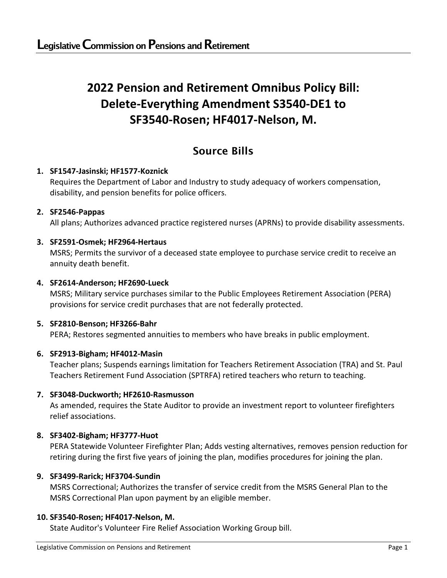# **2022 Pension and Retirement Omnibus Policy Bill: Delete-Everything Amendment S3540-DE1 to SF3540-Rosen; HF4017-Nelson, M.**

# Source Bills

# **1. SF1547-Jasinski; HF1577-Koznick**

Requires the Department of Labor and Industry to study adequacy of workers compensation, disability, and pension benefits for police officers.

# **2. SF2546-Pappas**

All plans; Authorizes advanced practice registered nurses (APRNs) to provide disability assessments.

# **3. SF2591-Osmek; HF2964-Hertaus**

MSRS; Permits the survivor of a deceased state employee to purchase service credit to receive an annuity death benefit.

# **4. SF2614-Anderson; HF2690-Lueck**

MSRS; Military service purchases similar to the Public Employees Retirement Association (PERA) provisions for service credit purchases that are not federally protected.

# **5. SF2810-Benson; HF3266-Bahr**

PERA; Restores segmented annuities to members who have breaks in public employment.

# **6. SF2913-Bigham; HF4012-Masin**

Teacher plans; Suspends earnings limitation for Teachers Retirement Association (TRA) and St. Paul Teachers Retirement Fund Association (SPTRFA) retired teachers who return to teaching.

# **7. SF3048-Duckworth; HF2610-Rasmusson**

As amended, requires the State Auditor to provide an investment report to volunteer firefighters relief associations.

# **8. SF3402-Bigham; HF3777-Huot**

PERA Statewide Volunteer Firefighter Plan; Adds vesting alternatives, removes pension reduction for retiring during the first five years of joining the plan, modifies procedures for joining the plan.

# **9. SF3499-Rarick; HF3704-Sundin**

MSRS Correctional; Authorizes the transfer of service credit from the MSRS General Plan to the MSRS Correctional Plan upon payment by an eligible member.

# **10. SF3540-Rosen; HF4017-Nelson, M.**

State Auditor's Volunteer Fire Relief Association Working Group bill.